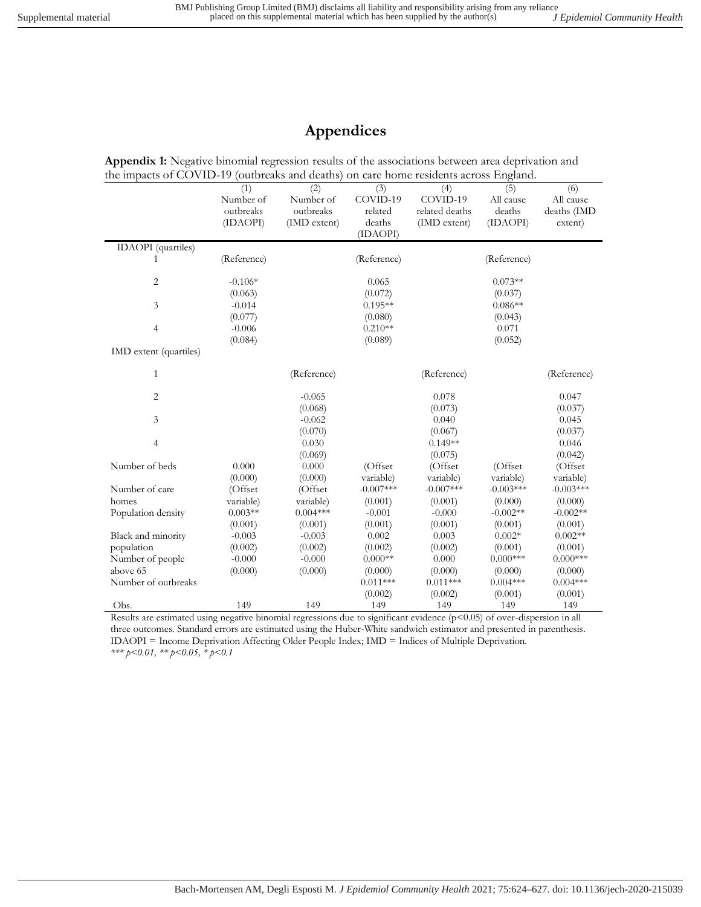## **Appendices**

**Appendix 1:** Negative binomial regression results of the associations between area deprivation and the impacts of COVID-19 (outbreaks and deaths) on care home residents across England.

|                           | (1)         | (2)          | (3)         | (4)            | (5)         | (6)         |
|---------------------------|-------------|--------------|-------------|----------------|-------------|-------------|
|                           | Number of   | Number of    | COVID-19    | COVID-19       | All cause   | All cause   |
|                           | outbreaks   | outbreaks    | related     | related deaths | deaths      | deaths (IMD |
|                           | (IDAOPI)    | (IMD extent) | deaths      | (IMD extent)   | (IDAOPI)    | extent)     |
|                           |             |              | (IDAOPI)    |                |             |             |
| <b>IDAOPI</b> (quartiles) |             |              |             |                |             |             |
| 1                         | (Reference) |              | (Reference) |                | (Reference) |             |
|                           |             |              |             |                |             |             |
| 2                         | $-0.106*$   |              | 0.065       |                | $0.073**$   |             |
|                           | (0.063)     |              | (0.072)     |                | (0.037)     |             |
| 3                         | $-0.014$    |              | $0.195**$   |                | $0.086**$   |             |
|                           | (0.077)     |              | (0.080)     |                | (0.043)     |             |
| $\overline{4}$            | $-0.006$    |              | $0.210**$   |                | 0.071       |             |
|                           | (0.084)     |              | (0.089)     |                | (0.052)     |             |
| IMD extent (quartiles)    |             |              |             |                |             |             |
|                           |             |              |             |                |             |             |
| 1                         |             | (Reference)  |             | (Reference)    |             | (Reference) |
| $\overline{c}$            |             | $-0.065$     |             | 0.078          |             | 0.047       |
|                           |             | (0.068)      |             | (0.073)        |             | (0.037)     |
| 3                         |             | $-0.062$     |             | 0.040          |             | 0.045       |
|                           |             | (0.070)      |             | (0.067)        |             | (0.037)     |
| $\overline{4}$            |             | 0.030        |             | $0.149**$      |             | 0.046       |
|                           |             | (0.069)      |             | (0.075)        |             | (0.042)     |
| Number of beds            | 0.000       | 0.000        | (Offset)    | (Offset        | (Offset)    | (Offset     |
|                           | (0.000)     | (0.000)      | variable)   | variable)      | variable)   | variable)   |
| Number of care            | (Offset     | (Offset      | $-0.007***$ | $-0.007***$    | $-0.003***$ | $-0.003***$ |
| homes                     | variable)   | variable)    | (0.001)     | (0.001)        | (0.000)     | (0.000)     |
| Population density        | $0.003**$   | $0.004***$   | $-0.001$    | $-0.000$       | $-0.002**$  | $-0.002**$  |
|                           | (0.001)     | (0.001)      | (0.001)     | (0.001)        | (0.001)     | (0.001)     |
| Black and minority        | $-0.003$    | $-0.003$     | 0.002       | 0.003          | $0.002*$    | $0.002**$   |
| population                | (0.002)     | (0.002)      | (0.002)     | (0.002)        | (0.001)     | (0.001)     |
| Number of people          | $-0.000$    | $-0.000$     | $0.000**$   | 0.000          | $0.000$ *** | $0.000$ *** |
| above 65                  | (0.000)     | (0.000)      | (0.000)     | (0.000)        | (0.000)     | (0.000)     |
| Number of outbreaks       |             |              | $0.011***$  | $0.011***$     | $0.004***$  | $0.004***$  |
|                           |             |              | (0.002)     | (0.002)        | (0.001)     | (0.001)     |
| Obs.                      | 149         | 149          | 149         | 149            | 149         | 149         |
|                           |             |              |             |                |             |             |

Results are estimated using negative binomial regressions due to significant evidence (p<0.05) of over-dispersion in all three outcomes. Standard errors are estimated using the Huber-White sandwich estimator and presented in parenthesis. IDAOPI = Income Deprivation Affecting Older People Index; IMD = Indices of Multiple Deprivation. *\*\*\* p<0.01, \*\* p<0.05, \* p<0.1*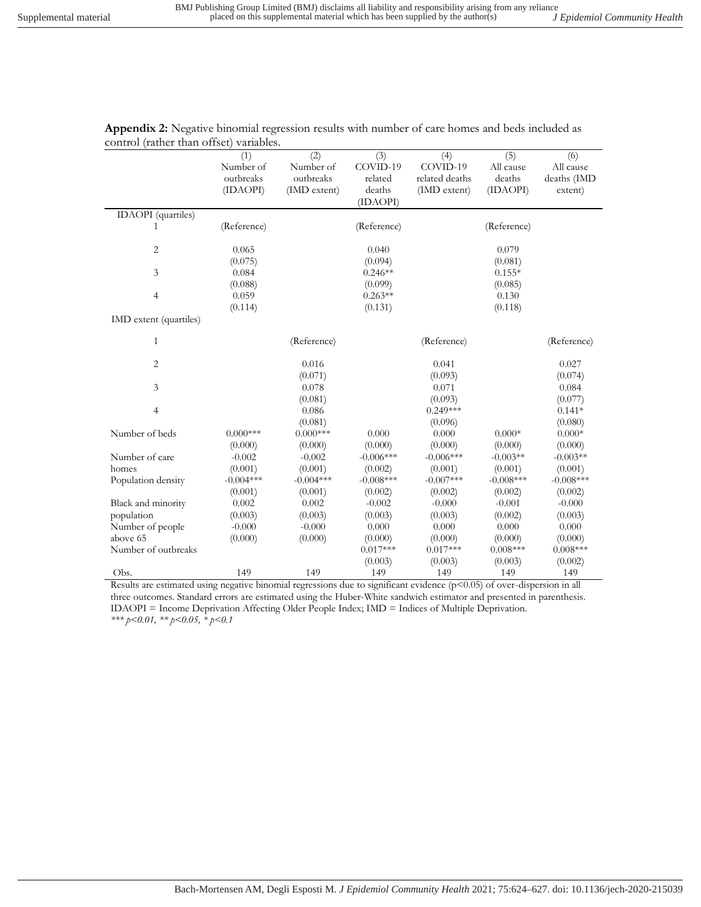|                           | (1)         | (2)          | (3)         | (4)            | $\overline{(5)}$ | (6)         |
|---------------------------|-------------|--------------|-------------|----------------|------------------|-------------|
|                           |             |              |             |                |                  |             |
|                           | Number of   | Number of    | COVID-19    | COVID-19       | All cause        | All cause   |
|                           | outbreaks   | outbreaks    | related     | related deaths | deaths           | deaths (IMD |
|                           | (IDAOPI)    | (IMD extent) | deaths      | (IMD extent)   | (IDAOPI)         | extent)     |
|                           |             |              | (IDAOPI)    |                |                  |             |
| <b>IDAOPI</b> (quartiles) |             |              |             |                |                  |             |
| 1                         | (Reference) |              | (Reference) |                | (Reference)      |             |
|                           |             |              |             |                |                  |             |
| 2                         | 0.065       |              | 0.040       |                | 0.079            |             |
|                           | (0.075)     |              | (0.094)     |                | (0.081)          |             |
| 3                         | 0.084       |              | $0.246**$   |                | $0.155*$         |             |
|                           | (0.088)     |              | (0.099)     |                | (0.085)          |             |
| $\overline{4}$            | 0.059       |              | $0.263**$   |                | 0.130            |             |
|                           | (0.114)     |              | (0.131)     |                | (0.118)          |             |
| IMD extent (quartiles)    |             |              |             |                |                  |             |
| $\mathbf{1}$              |             | (Reference)  |             | (Reference)    |                  | (Reference) |
|                           |             |              |             |                |                  |             |
| $\overline{2}$            |             | 0.016        |             | 0.041          |                  | 0.027       |
|                           |             | (0.071)      |             | (0.093)        |                  | (0.074)     |
| 3                         |             | 0.078        |             | 0.071          |                  | 0.084       |
|                           |             | (0.081)      |             | (0.093)        |                  | (0.077)     |
| $\overline{4}$            |             | 0.086        |             | $0.249***$     |                  | $0.141*$    |
|                           |             | (0.081)      |             | (0.096)        |                  | (0.080)     |
| Number of beds            | $0.000***$  | $0.000***$   | 0.000       | 0.000          | $0.000*$         | $0.000*$    |
|                           | (0.000)     | (0.000)      | (0.000)     | (0.000)        | (0.000)          | (0.000)     |
| Number of care            | $-0.002$    | $-0.002$     | $-0.006***$ | $-0.006***$    | $-0.003**$       | $-0.003**$  |
| homes                     | (0.001)     | (0.001)      | (0.002)     | (0.001)        | (0.001)          | (0.001)     |
| Population density        | $-0.004***$ | $-0.004***$  | $-0.008***$ | $-0.007***$    | $-0.008***$      | $-0.008***$ |
|                           | (0.001)     | (0.001)      | (0.002)     | (0.002)        | (0.002)          | (0.002)     |
|                           |             |              | $-0.002$    | $-0.000$       | $-0.001$         |             |
| Black and minority        | 0.002       | 0.002        |             |                |                  | $-0.000$    |
| population                | (0.003)     | (0.003)      | (0.003)     | (0.003)        | (0.002)          | (0.003)     |
| Number of people          | $-0.000$    | $-0.000$     | 0.000       | 0.000          | 0.000            | 0.000       |
| above 65                  | (0.000)     | (0.000)      | (0.000)     | (0.000)        | (0.000)          | (0.000)     |
| Number of outbreaks       |             |              | $0.017***$  | $0.017***$     | $0.008***$       | $0.008***$  |
|                           |             |              | (0.003)     | (0.003)        | (0.003)          | (0.002)     |
| Obs.                      | 149         | 149          | 149         | 149            | 149              | 149         |

**Appendix 2:** Negative binomial regression results with number of care homes and beds included as control (rather than offset) variables.

Results are estimated using negative binomial regressions due to significant evidence (p<0.05) of over-dispersion in all three outcomes. Standard errors are estimated using the Huber-White sandwich estimator and presented in parenthesis. IDAOPI = Income Deprivation Affecting Older People Index; IMD = Indices of Multiple Deprivation. *\*\*\* p<0.01, \*\* p<0.05, \* p<0.1*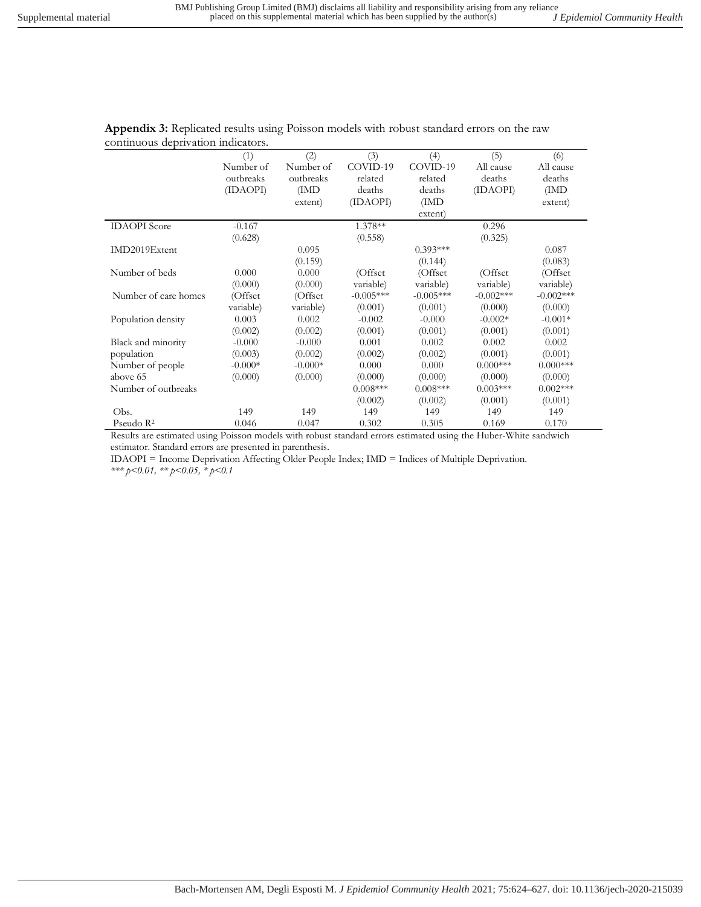|                       | (1)       | (2)       | (3)         | (4)         | (5)         | (6)         |
|-----------------------|-----------|-----------|-------------|-------------|-------------|-------------|
|                       | Number of | Number of | COVID-19    | COVID-19    | All cause   | All cause   |
|                       | outbreaks | outbreaks | related     | related     | deaths      | deaths      |
|                       | (IDAOPI)  | (IMD      | deaths      | deaths      | (IDAOPI)    | (IMD)       |
|                       |           | extent)   | (IDAOPI)    | (IMD)       |             | extent)     |
|                       |           |           |             | extent)     |             |             |
| <b>IDAOPI</b> Score   | $-0.167$  |           | 1.378**     |             | 0.296       |             |
|                       | (0.628)   |           | (0.558)     |             | (0.325)     |             |
| IMD2019Extent         |           | 0.095     |             | $0.393***$  |             | 0.087       |
|                       |           | (0.159)   |             | (0.144)     |             | (0.083)     |
| Number of beds        | 0.000     | 0.000     | (Offset)    | (Offset     | (Offset)    | (Offset)    |
|                       | (0.000)   | (0.000)   | variable)   | variable)   | variable)   | variable)   |
| Number of care homes  | (Offset   | (Offset   | $-0.005***$ | $-0.005***$ | $-0.002***$ | $-0.002***$ |
|                       | variable) | variable) | (0.001)     | (0.001)     | (0.000)     | (0.000)     |
| Population density    | 0.003     | 0.002     | $-0.002$    | $-0.000$    | $-0.002*$   | $-0.001*$   |
|                       | (0.002)   | (0.002)   | (0.001)     | (0.001)     | (0.001)     | (0.001)     |
| Black and minority    | $-0.000$  | $-0.000$  | 0.001       | 0.002       | 0.002       | 0.002       |
| population            | (0.003)   | (0.002)   | (0.002)     | (0.002)     | (0.001)     | (0.001)     |
| Number of people      | $-0.000*$ | $-0.000*$ | 0.000       | 0.000       | $0.000***$  | $0.000***$  |
| above 65              | (0.000)   | (0.000)   | (0.000)     | (0.000)     | (0.000)     | (0.000)     |
| Number of outbreaks   |           |           | $0.008***$  | $0.008***$  | $0.003***$  | $0.002***$  |
|                       |           |           | (0.002)     | (0.002)     | (0.001)     | (0.001)     |
| Obs.                  | 149       | 149       | 149         | 149         | 149         | 149         |
| Pseudo $\mathbb{R}^2$ | 0.046     | 0.047     | 0.302       | 0.305       | 0.169       | 0.170       |

**Appendix 3:** Replicated results using Poisson models with robust standard errors on the raw continuous deprivation indicators.

Results are estimated using Poisson models with robust standard errors estimated using the Huber-White sandwich estimator. Standard errors are presented in parenthesis.

IDAOPI = Income Deprivation Affecting Older People Index; IMD = Indices of Multiple Deprivation. *\*\*\* p<0.01, \*\* p<0.05, \* p<0.1*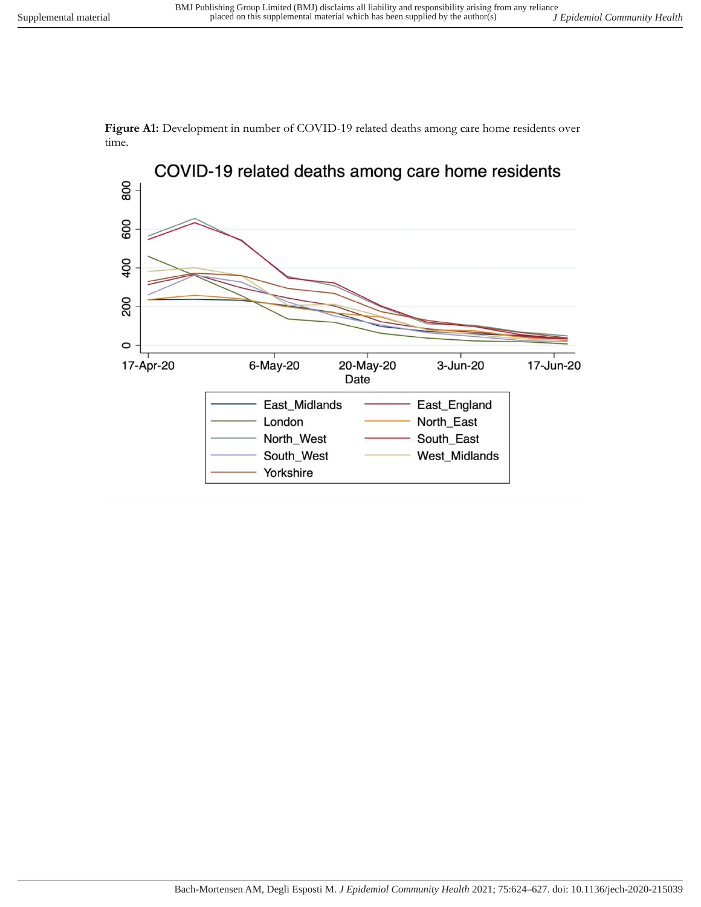